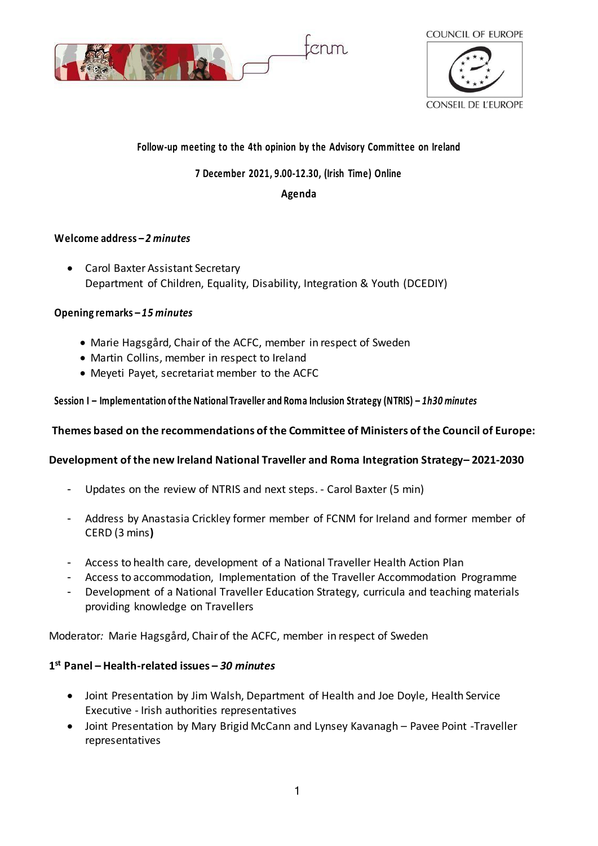



# **Follow-up meeting to the 4th opinion by the Advisory Committee on Ireland**

### **7 December 2021, 9.00-12.30, (Irish Time) Online**

#### **Agenda**

### **Welcome address –** *2 minutes*

 Carol Baxter Assistant Secretary Department of Children, Equality, Disability, Integration & Youth (DCEDIY)

### **Opening remarks –** *15 minutes*

- Marie Hagsgård, Chair of the ACFC, member in respect of Sweden
- Martin Collins, member in respect to Ireland
- Meyeti Payet, secretariat member to the ACFC

### **Session I – Implementation of the National Traveller and Roma Inclusion Strategy (NTRIS) –** *1h30 minutes*

# **Themes based on the recommendations of the Committee of Ministers of the Council of Europe:**

# **Development of the new Ireland National Traveller and Roma Integration Strategy– 2021-2030**

- Updates on the review of NTRIS and next steps. Carol Baxter (5 min)
- Address by Anastasia Crickley former member of FCNM for Ireland and former member of CERD (3 mins**)**
- Access to health care, development of a National Traveller Health Action Plan
- Access to accommodation, Implementation of the Traveller Accommodation Programme
- Development of a National Traveller Education Strategy, curricula and teaching materials providing knowledge on Travellers

Moderator*:* Marie Hagsgård, Chair of the ACFC, member in respect of Sweden

# **1 st Panel – Health-related issues –** *30 minutes*

- Joint Presentation by Jim Walsh, Department of Health and Joe Doyle, Health Service Executive - Irish authorities representatives
- Joint Presentation by Mary Brigid McCann and Lynsey Kavanagh Pavee Point -Traveller representatives